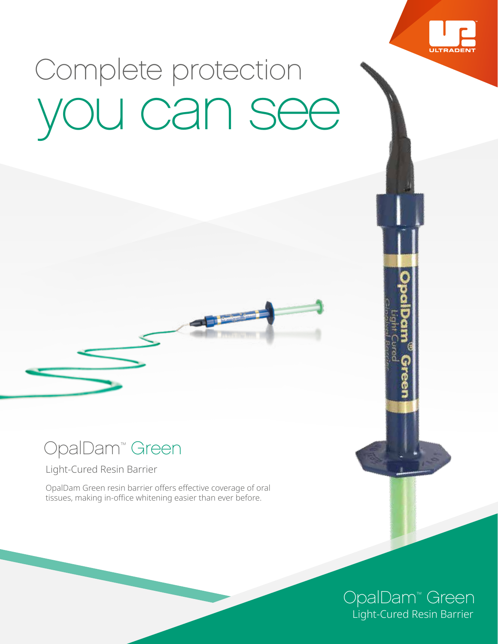

# Complete protection you can see

## OpalDam™ Green

Light-Cured Resin Barrier

OpalDam Green resin barrier offers effective coverage of oral tissues, making in-office whitening easier than ever before.

#### Light-Cured Resin Barrier OpalDam™ Green